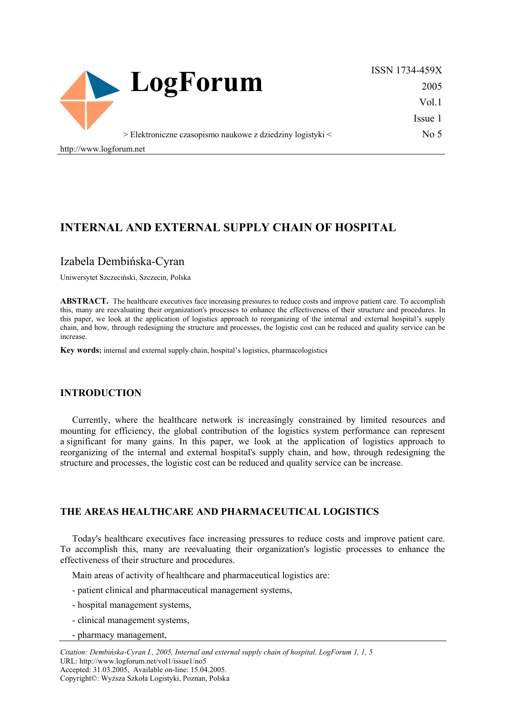

ISSN 1734-459X 2005 Vol.1 Issue 1  $No<sub>5</sub>$ 

http://www.logforum.net

# **INTERNAL AND EXTERNAL SUPPLY CHAIN OF HOSPITAL**

### Izabela Dembińska-Cyran

Uniwersytet Szczeciński, Szczecin, Polska

**ABSTRACT.** The healthcare executives face increasing pressures to reduce costs and improve patient care. To accomplish this, many are reevaluating their organization's processes to enhance the effectiveness of their structure and procedures. In this paper, we look at the application of logistics approach to reorganizing of the internal and external hospital's supply chain, and how, through redesigning the structure and processes, the logistic cost can be reduced and quality service can be increase.

**Key words:** internal and external supply chain, hospital's logistics, pharmacologistics

#### **INTRODUCTION**

Currently, where the healthcare network is increasingly constrained by limited resources and mounting for efficiency, the global contribution of the logistics system performance can represent a significant for many gains. In this paper, we look at the application of logistics approach to reorganizing of the internal and external hospital's supply chain, and how, through redesigning the structure and processes, the logistic cost can be reduced and quality service can be increase.

#### **THE AREAS HEALTHCARE AND PHARMACEUTICAL LOGISTICS**

Today's healthcare executives face increasing pressures to reduce costs and improve patient care. To accomplish this, many are reevaluating their organization's logistic processes to enhance the effectiveness of their structure and procedures.

Main areas of activity of healthcare and pharmaceutical logistics are:

- patient clinical and pharmaceutical management systems,
- hospital management systems,
- clinical management systems,
- pharmacy management,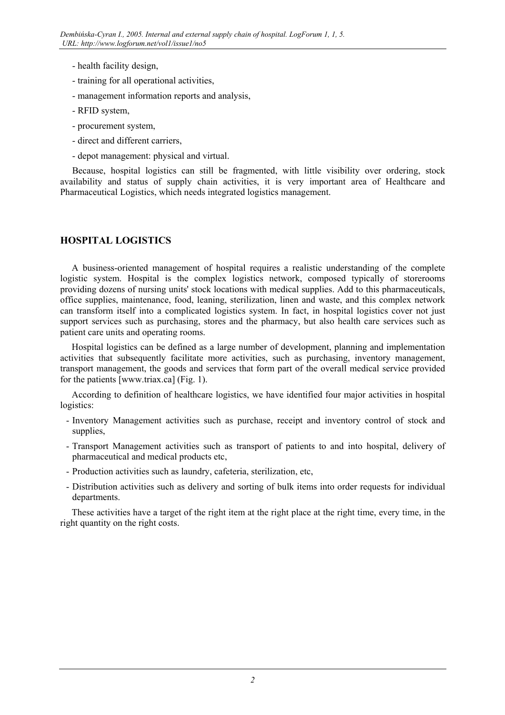- health facility design,
- training for all operational activities,
- management information reports and analysis,
- RFID system,
- procurement system,
- direct and different carriers,
- depot management: physical and virtual.

Because, hospital logistics can still be fragmented, with little visibility over ordering, stock availability and status of supply chain activities, it is very important area of Healthcare and Pharmaceutical Logistics, which needs integrated logistics management.

## **HOSPITAL LOGISTICS**

A business-oriented management of hospital requires a realistic understanding of the complete logistic system. Hospital is the complex logistics network, composed typically of storerooms providing dozens of nursing units' stock locations with medical supplies. Add to this pharmaceuticals, office supplies, maintenance, food, leaning, sterilization, linen and waste, and this complex network can transform itself into a complicated logistics system. In fact, in hospital logistics cover not just support services such as purchasing, stores and the pharmacy, but also health care services such as patient care units and operating rooms.

Hospital logistics can be defined as a large number of development, planning and implementation activities that subsequently facilitate more activities, such as purchasing, inventory management, transport management, the goods and services that form part of the overall medical service provided for the patients [www.triax.ca] (Fig. 1).

According to definition of healthcare logistics, we have identified four major activities in hospital logistics:

- Inventory Management activities such as purchase, receipt and inventory control of stock and supplies,
- Transport Management activities such as transport of patients to and into hospital, delivery of pharmaceutical and medical products etc,
- Production activities such as laundry, cafeteria, sterilization, etc,
- Distribution activities such as delivery and sorting of bulk items into order requests for individual departments.

These activities have a target of the right item at the right place at the right time, every time, in the right quantity on the right costs.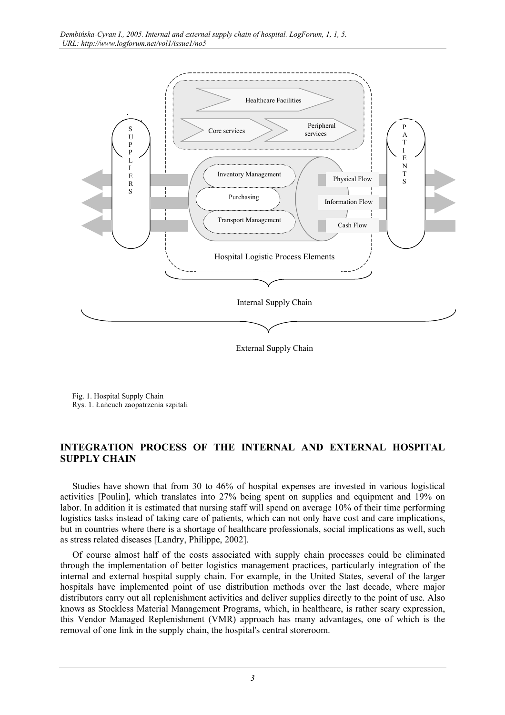

Fig. 1. Hospital Supply Chain Rys. 1. Łańcuch zaopatrzenia szpitali

### **INTEGRATION PROCESS OF THE INTERNAL AND EXTERNAL HOSPITAL SUPPLY CHAIN**

Studies have shown that from 30 to 46% of hospital expenses are invested in various logistical activities [Poulin], which translates into 27% being spent on supplies and equipment and 19% on labor. In addition it is estimated that nursing staff will spend on average 10% of their time performing logistics tasks instead of taking care of patients, which can not only have cost and care implications, but in countries where there is a shortage of healthcare professionals, social implications as well, such as stress related diseases [Landry, Philippe, 2002].

Of course almost half of the costs associated with supply chain processes could be eliminated through the implementation of better logistics management practices, particularly integration of the internal and external hospital supply chain. For example, in the United States, several of the larger hospitals have implemented point of use distribution methods over the last decade, where major distributors carry out all replenishment activities and deliver supplies directly to the point of use. Also knows as Stockless Material Management Programs, which, in healthcare, is rather scary expression, this Vendor Managed Replenishment (VMR) approach has many advantages, one of which is the removal of one link in the supply chain, the hospital's central storeroom.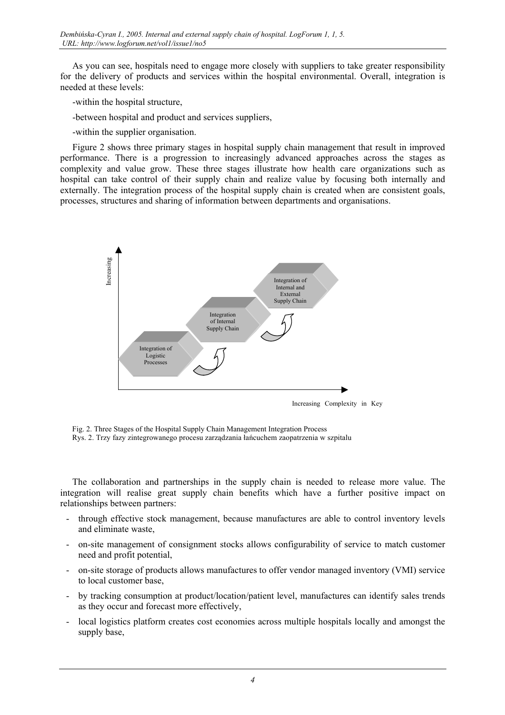As you can see, hospitals need to engage more closely with suppliers to take greater responsibility for the delivery of products and services within the hospital environmental. Overall, integration is needed at these levels:

-within the hospital structure,

-between hospital and product and services suppliers,

-within the supplier organisation.

Figure 2 shows three primary stages in hospital supply chain management that result in improved performance. There is a progression to increasingly advanced approaches across the stages as complexity and value grow. These three stages illustrate how health care organizations such as hospital can take control of their supply chain and realize value by focusing both internally and externally. The integration process of the hospital supply chain is created when are consistent goals, processes, structures and sharing of information between departments and organisations.



Fig. 2. Three Stages of the Hospital Supply Chain Management Integration Process Rys. 2. Trzy fazy zintegrowanego procesu zarządzania łańcuchem zaopatrzenia w szpitalu

The collaboration and partnerships in the supply chain is needed to release more value. The integration will realise great supply chain benefits which have a further positive impact on relationships between partners:

- through effective stock management, because manufactures are able to control inventory levels and eliminate waste,
- on-site management of consignment stocks allows configurability of service to match customer need and profit potential,
- on-site storage of products allows manufactures to offer vendor managed inventory (VMI) service to local customer base,
- by tracking consumption at product/location/patient level, manufactures can identify sales trends as they occur and forecast more effectively,
- local logistics platform creates cost economies across multiple hospitals locally and amongst the supply base,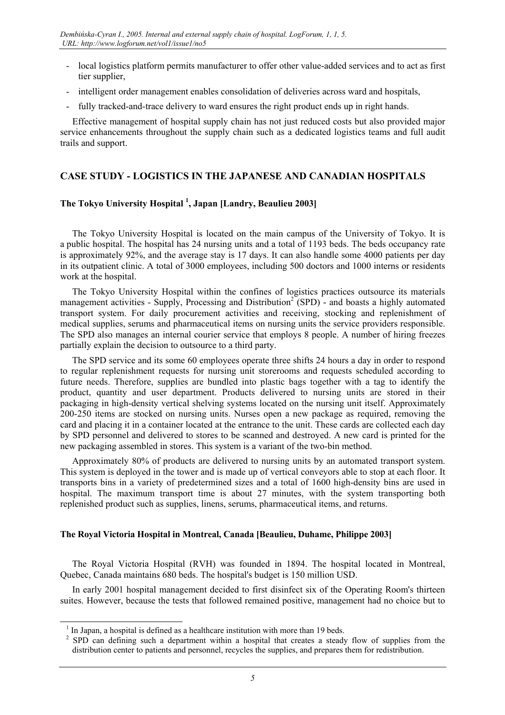- local logistics platform permits manufacturer to offer other value-added services and to act as first tier supplier,
- intelligent order management enables consolidation of deliveries across ward and hospitals,
- fully tracked-and-trace delivery to ward ensures the right product ends up in right hands.

Effective management of hospital supply chain has not just reduced costs but also provided major service enhancements throughout the supply chain such as a dedicated logistics teams and full audit trails and support.

## **CASE STUDY - LOGISTICS IN THE JAPANESE AND CANADIAN HOSPITALS**

### **The Tokyo University Hospital [1](#page-4-0) , Japan [Landry, Beaulieu 2003]**

The Tokyo University Hospital is located on the main campus of the University of Tokyo. It is a public hospital. The hospital has 24 nursing units and a total of 1193 beds. The beds occupancy rate is approximately 92%, and the average stay is 17 days. It can also handle some 4000 patients per day in its outpatient clinic. A total of 3000 employees, including 500 doctors and 1000 interns or residents work at the hospital.

The Tokyo University Hospital within the confines of logistics practices outsource its materials management activities - Supply, Processing and Distribution<sup>[2](#page-4-1)</sup> (SPD) - and boasts a highly automated transport system. For daily procurement activities and receiving, stocking and replenishment of medical supplies, serums and pharmaceutical items on nursing units the service providers responsible. The SPD also manages an internal courier service that employs 8 people. A number of hiring freezes partially explain the decision to outsource to a third party.

The SPD service and its some 60 employees operate three shifts 24 hours a day in order to respond to regular replenishment requests for nursing unit storerooms and requests scheduled according to future needs. Therefore, supplies are bundled into plastic bags together with a tag to identify the product, quantity and user department. Products delivered to nursing units are stored in their packaging in high-density vertical shelving systems located on the nursing unit itself. Approximately 200-250 items are stocked on nursing units. Nurses open a new package as required, removing the card and placing it in a container located at the entrance to the unit. These cards are collected each day by SPD personnel and delivered to stores to be scanned and destroyed. A new card is printed for the new packaging assembled in stores. This system is a variant of the two-bin method.

Approximately 80% of products are delivered to nursing units by an automated transport system. This system is deployed in the tower and is made up of vertical conveyors able to stop at each floor. It transports bins in a variety of predetermined sizes and a total of 1600 high-density bins are used in hospital. The maximum transport time is about 27 minutes, with the system transporting both replenished product such as supplies, linens, serums, pharmaceutical items, and returns.

### **The Royal Victoria Hospital in Montreal, Canada [Beaulieu, Duhame, Philippe 2003]**

The Royal Victoria Hospital (RVH) was founded in 1894. The hospital located in Montreal, Quebec, Canada maintains 680 beds. The hospital's budget is 150 million USD.

In early 2001 hospital management decided to first disinfect six of the Operating Room's thirteen suites. However, because the tests that followed remained positive, management had no choice but to

 <sup>1</sup> If In Japan, a hospital is defined as a healthcare institution with more than 19 beds.  $\frac{2}{5}$  SPD, can defining such a department within a heapital that creates a steed.

<span id="page-4-1"></span><span id="page-4-0"></span> $2$  SPD can defining such a department within a hospital that creates a steady flow of supplies from the distribution center to patients and personnel, recycles the supplies, and prepares them for redistribution.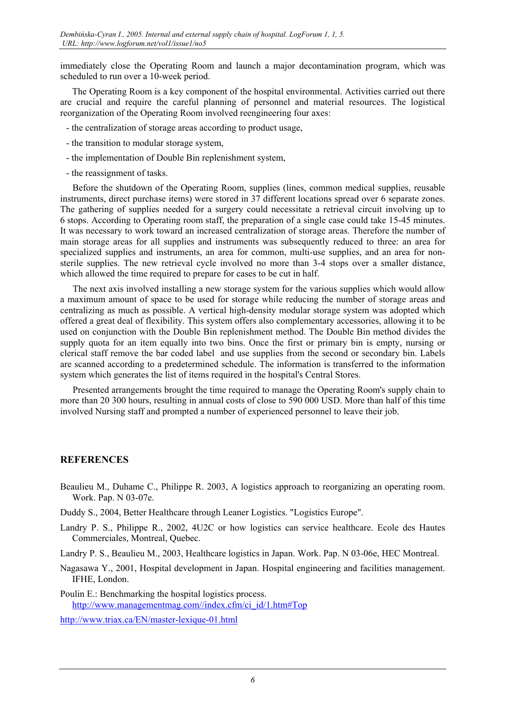immediately close the Operating Room and launch a major decontamination program, which was scheduled to run over a 10-week period.

The Operating Room is a key component of the hospital environmental. Activities carried out there are crucial and require the careful planning of personnel and material resources. The logistical reorganization of the Operating Room involved reengineering four axes:

- the centralization of storage areas according to product usage,
- the transition to modular storage system,
- the implementation of Double Bin replenishment system,
- the reassignment of tasks.

Before the shutdown of the Operating Room, supplies (lines, common medical supplies, reusable instruments, direct purchase items) were stored in 37 different locations spread over 6 separate zones. The gathering of supplies needed for a surgery could necessitate a retrieval circuit involving up to 6 stops. According to Operating room staff, the preparation of a single case could take 15-45 minutes. It was necessary to work toward an increased centralization of storage areas. Therefore the number of main storage areas for all supplies and instruments was subsequently reduced to three: an area for specialized supplies and instruments, an area for common, multi-use supplies, and an area for nonsterile supplies. The new retrieval cycle involved no more than 3-4 stops over a smaller distance, which allowed the time required to prepare for cases to be cut in half.

The next axis involved installing a new storage system for the various supplies which would allow a maximum amount of space to be used for storage while reducing the number of storage areas and centralizing as much as possible. A vertical high-density modular storage system was adopted which offered a great deal of flexibility. This system offers also complementary accessories, allowing it to be used on conjunction with the Double Bin replenishment method. The Double Bin method divides the supply quota for an item equally into two bins. Once the first or primary bin is empty, nursing or clerical staff remove the bar coded label and use supplies from the second or secondary bin. Labels are scanned according to a predetermined schedule. The information is transferred to the information system which generates the list of items required in the hospital's Central Stores.

Presented arrangements brought the time required to manage the Operating Room's supply chain to more than 20 300 hours, resulting in annual costs of close to 590 000 USD. More than half of this time involved Nursing staff and prompted a number of experienced personnel to leave their job.

### **REFERENCES**

- Beaulieu M., Duhame C., Philippe R. 2003, A logistics approach to reorganizing an operating room. Work. Pap. N 03-07e.
- Duddy S., 2004, Better Healthcare through Leaner Logistics. "Logistics Europe".
- Landry P. S., Philippe R., 2002, 4U2C or how logistics can service healthcare. Ecole des Hautes Commerciales, Montreal, Quebec.

Landry P. S., Beaulieu M., 2003, Healthcare logistics in Japan. Work. Pap. N 03-06e, HEC Montreal.

- Nagasawa Y., 2001, Hospital development in Japan. Hospital engineering and facilities management. IFHE, London.
- Poulin E.: Benchmarking the hospital logistics process. [http://www.managementmag.com//index.cfm/ci\\_id/1.htm#Top](http://www.managementmag.com//index.cfm/ci_id/1.htm)

<http://www.triax.ca/EN/master-lexique-01.html>